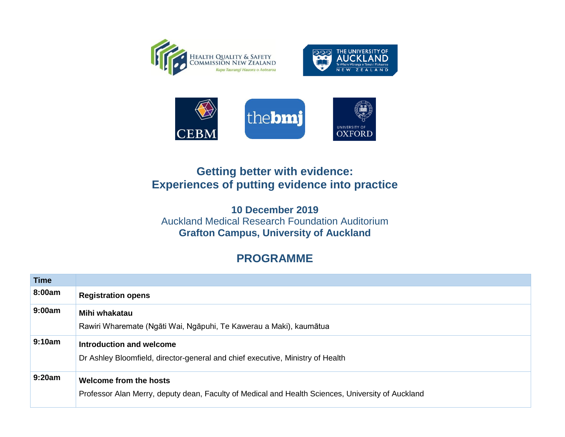





## **Getting better with evidence: Experiences of putting evidence into practice**

**10 December 2019** Auckland Medical Research Foundation Auditorium **Grafton Campus, University of Auckland**

## **PROGRAMME**

| <b>Time</b> |                                                                                                                             |
|-------------|-----------------------------------------------------------------------------------------------------------------------------|
| 8:00am      | <b>Registration opens</b>                                                                                                   |
| 9:00am      | Mihi whakatau<br>Rawiri Wharemate (Ngāti Wai, Ngāpuhi, Te Kawerau a Maki), kaumātua                                         |
| 9:10am      | Introduction and welcome<br>Dr Ashley Bloomfield, director-general and chief executive, Ministry of Health                  |
| 9:20am      | Welcome from the hosts<br>Professor Alan Merry, deputy dean, Faculty of Medical and Health Sciences, University of Auckland |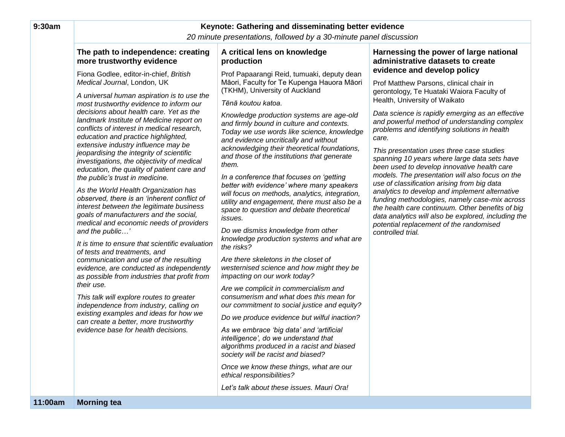| 9:30am  | Keynote: Gathering and disseminating better evidence<br>20 minute presentations, followed by a 30-minute panel discussion                                                                                                                                                                                                                                                                                                                                                                                                                                                                                                                                                                                                                                                                                                                                                                                                                                                                                                                                                                                                                                                                                                                                      |                                                                                                                                                                                                                                                                                                                                                                                                                                                                                                                                                                                                                                                                                                                                                                                                                                                                                                                                                                                                                                                                                                                                                                                                                                                                                                                                                                                                  |                                                                                                                                                                                                                                                                                                                                                                                                                                                                                                                                                                                                                                                                                                                                                                                                                                               |  |
|---------|----------------------------------------------------------------------------------------------------------------------------------------------------------------------------------------------------------------------------------------------------------------------------------------------------------------------------------------------------------------------------------------------------------------------------------------------------------------------------------------------------------------------------------------------------------------------------------------------------------------------------------------------------------------------------------------------------------------------------------------------------------------------------------------------------------------------------------------------------------------------------------------------------------------------------------------------------------------------------------------------------------------------------------------------------------------------------------------------------------------------------------------------------------------------------------------------------------------------------------------------------------------|--------------------------------------------------------------------------------------------------------------------------------------------------------------------------------------------------------------------------------------------------------------------------------------------------------------------------------------------------------------------------------------------------------------------------------------------------------------------------------------------------------------------------------------------------------------------------------------------------------------------------------------------------------------------------------------------------------------------------------------------------------------------------------------------------------------------------------------------------------------------------------------------------------------------------------------------------------------------------------------------------------------------------------------------------------------------------------------------------------------------------------------------------------------------------------------------------------------------------------------------------------------------------------------------------------------------------------------------------------------------------------------------------|-----------------------------------------------------------------------------------------------------------------------------------------------------------------------------------------------------------------------------------------------------------------------------------------------------------------------------------------------------------------------------------------------------------------------------------------------------------------------------------------------------------------------------------------------------------------------------------------------------------------------------------------------------------------------------------------------------------------------------------------------------------------------------------------------------------------------------------------------|--|
|         |                                                                                                                                                                                                                                                                                                                                                                                                                                                                                                                                                                                                                                                                                                                                                                                                                                                                                                                                                                                                                                                                                                                                                                                                                                                                |                                                                                                                                                                                                                                                                                                                                                                                                                                                                                                                                                                                                                                                                                                                                                                                                                                                                                                                                                                                                                                                                                                                                                                                                                                                                                                                                                                                                  |                                                                                                                                                                                                                                                                                                                                                                                                                                                                                                                                                                                                                                                                                                                                                                                                                                               |  |
|         | The path to independence: creating<br>more trustworthy evidence                                                                                                                                                                                                                                                                                                                                                                                                                                                                                                                                                                                                                                                                                                                                                                                                                                                                                                                                                                                                                                                                                                                                                                                                | A critical lens on knowledge<br>production                                                                                                                                                                                                                                                                                                                                                                                                                                                                                                                                                                                                                                                                                                                                                                                                                                                                                                                                                                                                                                                                                                                                                                                                                                                                                                                                                       | Harnessing the power of large national<br>administrative datasets to create                                                                                                                                                                                                                                                                                                                                                                                                                                                                                                                                                                                                                                                                                                                                                                   |  |
|         | Fiona Godlee, editor-in-chief, British<br>Medical Journal, London, UK<br>A universal human aspiration is to use the<br>most trustworthy evidence to inform our<br>decisions about health care. Yet as the<br>landmark Institute of Medicine report on<br>conflicts of interest in medical research,<br>education and practice highlighted,<br>extensive industry influence may be<br>jeopardising the integrity of scientific<br>investigations, the objectivity of medical<br>education, the quality of patient care and<br>the public's trust in medicine.<br>As the World Health Organization has<br>observed, there is an 'inherent conflict of<br>interest between the legitimate business<br>goals of manufacturers and the social,<br>medical and economic needs of providers<br>and the public'<br>It is time to ensure that scientific evaluation<br>of tests and treatments, and<br>communication and use of the resulting<br>evidence, are conducted as independently<br>as possible from industries that profit from<br>their use.<br>This talk will explore routes to greater<br>independence from industry, calling on<br>existing examples and ideas for how we<br>can create a better, more trustworthy<br>evidence base for health decisions. | Prof Papaarangi Reid, tumuaki, deputy dean<br>Māori, Faculty for Te Kupenga Hauora Māori<br>(TKHM), University of Auckland<br>Tēnā koutou katoa.<br>Knowledge production systems are age-old<br>and firmly bound in culture and contexts.<br>Today we use words like science, knowledge<br>and evidence uncritically and without<br>acknowledging their theoretical foundations,<br>and those of the institutions that generate<br>them.<br>In a conference that focuses on 'getting<br>better with evidence' where many speakers<br>will focus on methods, analytics, integration,<br>utility and engagement, there must also be a<br>space to question and debate theoretical<br>issues.<br>Do we dismiss knowledge from other<br>knowledge production systems and what are<br>the risks?<br>Are there skeletons in the closet of<br>westernised science and how might they be<br>impacting on our work today?<br>Are we complicit in commercialism and<br>consumerism and what does this mean for<br>our commitment to social justice and equity?<br>Do we produce evidence but wilful inaction?<br>As we embrace 'big data' and 'artificial<br>intelligence', do we understand that<br>algorithms produced in a racist and biased<br>society will be racist and biased?<br>Once we know these things, what are our<br>ethical responsibilities?<br>Let's talk about these issues. Mauri Ora! | evidence and develop policy<br>Prof Matthew Parsons, clinical chair in<br>gerontology, Te Huataki Waiora Faculty of<br>Health, University of Waikato<br>Data science is rapidly emerging as an effective<br>and powerful method of understanding complex<br>problems and identifying solutions in health<br>care.<br>This presentation uses three case studies<br>spanning 10 years where large data sets have<br>been used to develop innovative health care<br>models. The presentation will also focus on the<br>use of classification arising from big data<br>analytics to develop and implement alternative<br>funding methodologies, namely case-mix across<br>the health care continuum. Other benefits of big<br>data analytics will also be explored, including the<br>potential replacement of the randomised<br>controlled trial. |  |
| 11:00am | <b>Morning tea</b>                                                                                                                                                                                                                                                                                                                                                                                                                                                                                                                                                                                                                                                                                                                                                                                                                                                                                                                                                                                                                                                                                                                                                                                                                                             |                                                                                                                                                                                                                                                                                                                                                                                                                                                                                                                                                                                                                                                                                                                                                                                                                                                                                                                                                                                                                                                                                                                                                                                                                                                                                                                                                                                                  |                                                                                                                                                                                                                                                                                                                                                                                                                                                                                                                                                                                                                                                                                                                                                                                                                                               |  |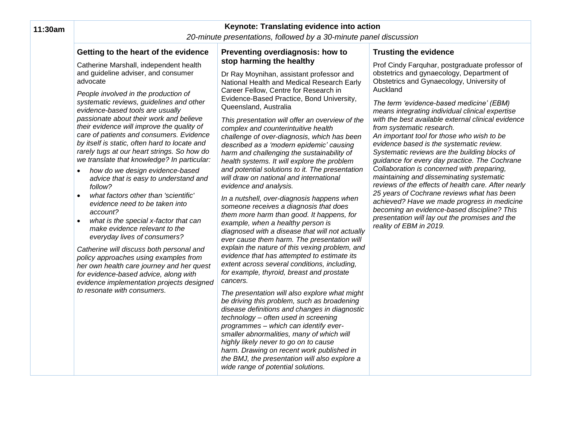| 11:30am | Keynote: Translating evidence into action<br>20-minute presentations, followed by a 30-minute panel discussion                                                                                                                                                                                                                                                                                                                                                                                                                                                                                                                                                                                                                                                                                                                                                                                                                                                                                |                                                                                                                                                                                                                                                                                                                                                                                                                                                                                                                                                                                                                                                                                                                                                                                                                                                                                                                                                                                                                                                                                                                                                                                                                                                                                                                                     |                                                                                                                                                                                                                                                                                                                                                                                                                                                                                                                                                                                                                                                                                                                                                                  |  |
|---------|-----------------------------------------------------------------------------------------------------------------------------------------------------------------------------------------------------------------------------------------------------------------------------------------------------------------------------------------------------------------------------------------------------------------------------------------------------------------------------------------------------------------------------------------------------------------------------------------------------------------------------------------------------------------------------------------------------------------------------------------------------------------------------------------------------------------------------------------------------------------------------------------------------------------------------------------------------------------------------------------------|-------------------------------------------------------------------------------------------------------------------------------------------------------------------------------------------------------------------------------------------------------------------------------------------------------------------------------------------------------------------------------------------------------------------------------------------------------------------------------------------------------------------------------------------------------------------------------------------------------------------------------------------------------------------------------------------------------------------------------------------------------------------------------------------------------------------------------------------------------------------------------------------------------------------------------------------------------------------------------------------------------------------------------------------------------------------------------------------------------------------------------------------------------------------------------------------------------------------------------------------------------------------------------------------------------------------------------------|------------------------------------------------------------------------------------------------------------------------------------------------------------------------------------------------------------------------------------------------------------------------------------------------------------------------------------------------------------------------------------------------------------------------------------------------------------------------------------------------------------------------------------------------------------------------------------------------------------------------------------------------------------------------------------------------------------------------------------------------------------------|--|
|         | Getting to the heart of the evidence                                                                                                                                                                                                                                                                                                                                                                                                                                                                                                                                                                                                                                                                                                                                                                                                                                                                                                                                                          | Preventing overdiagnosis: how to                                                                                                                                                                                                                                                                                                                                                                                                                                                                                                                                                                                                                                                                                                                                                                                                                                                                                                                                                                                                                                                                                                                                                                                                                                                                                                    | <b>Trusting the evidence</b>                                                                                                                                                                                                                                                                                                                                                                                                                                                                                                                                                                                                                                                                                                                                     |  |
|         | Catherine Marshall, independent health<br>and guideline adviser, and consumer<br>advocate                                                                                                                                                                                                                                                                                                                                                                                                                                                                                                                                                                                                                                                                                                                                                                                                                                                                                                     | stop harming the healthy<br>Dr Ray Moynihan, assistant professor and<br>National Health and Medical Research Early                                                                                                                                                                                                                                                                                                                                                                                                                                                                                                                                                                                                                                                                                                                                                                                                                                                                                                                                                                                                                                                                                                                                                                                                                  | Prof Cindy Farquhar, postgraduate professor of<br>obstetrics and gynaecology, Department of<br>Obstetrics and Gynaecology, University of                                                                                                                                                                                                                                                                                                                                                                                                                                                                                                                                                                                                                         |  |
|         | People involved in the production of<br>systematic reviews, guidelines and other<br>evidence-based tools are usually<br>passionate about their work and believe<br>their evidence will improve the quality of<br>care of patients and consumers. Evidence<br>by itself is static, often hard to locate and<br>rarely tugs at our heart strings. So how do<br>we translate that knowledge? In particular:<br>how do we design evidence-based<br>$\bullet$<br>advice that is easy to understand and<br>follow?<br>what factors other than 'scientific'<br>$\bullet$<br>evidence need to be taken into<br>account?<br>what is the special x-factor that can<br>$\bullet$<br>make evidence relevant to the<br>everyday lives of consumers?<br>Catherine will discuss both personal and<br>policy approaches using examples from<br>her own health care journey and her quest<br>for evidence-based advice, along with<br>evidence implementation projects designed<br>to resonate with consumers. | Career Fellow, Centre for Research in<br>Evidence-Based Practice, Bond University,<br>Queensland, Australia<br>This presentation will offer an overview of the<br>complex and counterintuitive health<br>challenge of over-diagnosis, which has been<br>described as a 'modern epidemic' causing<br>harm and challenging the sustainability of<br>health systems. It will explore the problem<br>and potential solutions to it. The presentation<br>will draw on national and international<br>evidence and analysis.<br>In a nutshell, over-diagnosis happens when<br>someone receives a diagnosis that does<br>them more harm than good. It happens, for<br>example, when a healthy person is<br>diagnosed with a disease that will not actually<br>ever cause them harm. The presentation will<br>explain the nature of this vexing problem, and<br>evidence that has attempted to estimate its<br>extent across several conditions, including,<br>for example, thyroid, breast and prostate<br>cancers.<br>The presentation will also explore what might<br>be driving this problem, such as broadening<br>disease definitions and changes in diagnostic<br>technology - often used in screening<br>programmes - which can identify ever-<br>smaller abnormalities, many of which will<br>highly likely never to go on to cause | Auckland<br>The term 'evidence-based medicine' (EBM)<br>means integrating individual clinical expertise<br>with the best available external clinical evidence<br>from systematic research.<br>An important tool for those who wish to be<br>evidence based is the systematic review.<br>Systematic reviews are the building blocks of<br>guidance for every day practice. The Cochrane<br>Collaboration is concerned with preparing,<br>maintaining and disseminating systematic<br>reviews of the effects of health care. After nearly<br>25 years of Cochrane reviews what has been<br>achieved? Have we made progress in medicine<br>becoming an evidence-based discipline? This<br>presentation will lay out the promises and the<br>reality of EBM in 2019. |  |

*harm. Drawing on recent work published in the BMJ, the presentation will also explore a* 

*wide range of potential solutions.*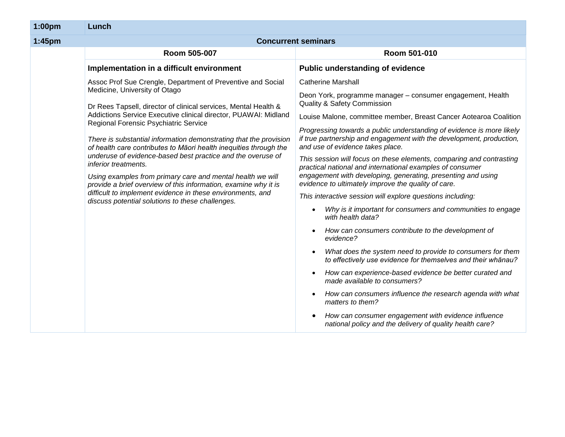| 1:00pm | Lunch                                                                                                                                                                                                                                                                                                                                                                                                                                                                                                                                                                                                                                                                                                                                                           |                                                                                                                                                                                                                                                                                                                                                                                                                                                                                                                                                                                                                                                                                                                                                                                                                                                                                                                                                                                                                                                                                                                                                                                                                                                                                                                                                                                 |  |
|--------|-----------------------------------------------------------------------------------------------------------------------------------------------------------------------------------------------------------------------------------------------------------------------------------------------------------------------------------------------------------------------------------------------------------------------------------------------------------------------------------------------------------------------------------------------------------------------------------------------------------------------------------------------------------------------------------------------------------------------------------------------------------------|---------------------------------------------------------------------------------------------------------------------------------------------------------------------------------------------------------------------------------------------------------------------------------------------------------------------------------------------------------------------------------------------------------------------------------------------------------------------------------------------------------------------------------------------------------------------------------------------------------------------------------------------------------------------------------------------------------------------------------------------------------------------------------------------------------------------------------------------------------------------------------------------------------------------------------------------------------------------------------------------------------------------------------------------------------------------------------------------------------------------------------------------------------------------------------------------------------------------------------------------------------------------------------------------------------------------------------------------------------------------------------|--|
| 1:45pm | <b>Concurrent seminars</b>                                                                                                                                                                                                                                                                                                                                                                                                                                                                                                                                                                                                                                                                                                                                      |                                                                                                                                                                                                                                                                                                                                                                                                                                                                                                                                                                                                                                                                                                                                                                                                                                                                                                                                                                                                                                                                                                                                                                                                                                                                                                                                                                                 |  |
|        | Room 505-007                                                                                                                                                                                                                                                                                                                                                                                                                                                                                                                                                                                                                                                                                                                                                    | Room 501-010                                                                                                                                                                                                                                                                                                                                                                                                                                                                                                                                                                                                                                                                                                                                                                                                                                                                                                                                                                                                                                                                                                                                                                                                                                                                                                                                                                    |  |
|        | Implementation in a difficult environment                                                                                                                                                                                                                                                                                                                                                                                                                                                                                                                                                                                                                                                                                                                       | Public understanding of evidence                                                                                                                                                                                                                                                                                                                                                                                                                                                                                                                                                                                                                                                                                                                                                                                                                                                                                                                                                                                                                                                                                                                                                                                                                                                                                                                                                |  |
|        | Assoc Prof Sue Crengle, Department of Preventive and Social<br>Medicine, University of Otago<br>Dr Rees Tapsell, director of clinical services, Mental Health &<br>Addictions Service Executive clinical director, PUAWAI: Midland<br>Regional Forensic Psychiatric Service<br>There is substantial information demonstrating that the provision<br>of health care contributes to Māori health inequities through the<br>underuse of evidence-based best practice and the overuse of<br>inferior treatments.<br>Using examples from primary care and mental health we will<br>provide a brief overview of this information, examine why it is<br>difficult to implement evidence in these environments, and<br>discuss potential solutions to these challenges. | <b>Catherine Marshall</b><br>Deon York, programme manager - consumer engagement, Health<br><b>Quality &amp; Safety Commission</b><br>Louise Malone, committee member, Breast Cancer Aotearoa Coalition<br>Progressing towards a public understanding of evidence is more likely<br>if true partnership and engagement with the development, production,<br>and use of evidence takes place.<br>This session will focus on these elements, comparing and contrasting<br>practical national and international examples of consumer<br>engagement with developing, generating, presenting and using<br>evidence to ultimately improve the quality of care.<br>This interactive session will explore questions including:<br>Why is it important for consumers and communities to engage<br>$\bullet$<br>with health data?<br>How can consumers contribute to the development of<br>$\bullet$<br>evidence?<br>What does the system need to provide to consumers for them<br>$\bullet$<br>to effectively use evidence for themselves and their whānau?<br>How can experience-based evidence be better curated and<br>$\bullet$<br>made available to consumers?<br>How can consumers influence the research agenda with what<br>$\bullet$<br>matters to them?<br>How can consumer engagement with evidence influence<br>٠<br>national policy and the delivery of quality health care? |  |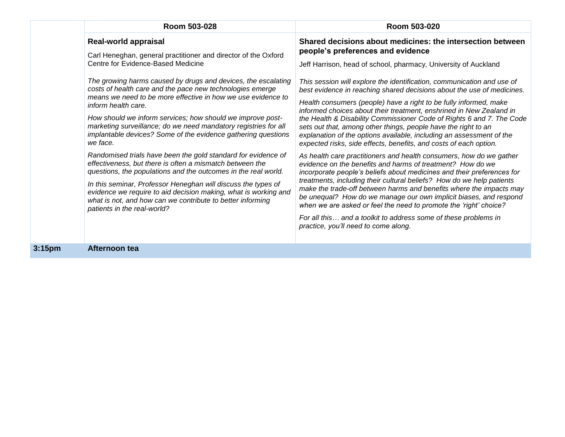|                    | Room 503-028                                                                                                                                                                                                                                                                                                                                                                                                                 | Room 503-020                                                                                                                                                                                                                                                                                                                                                                                                                                                                                                                                                                                                     |  |
|--------------------|------------------------------------------------------------------------------------------------------------------------------------------------------------------------------------------------------------------------------------------------------------------------------------------------------------------------------------------------------------------------------------------------------------------------------|------------------------------------------------------------------------------------------------------------------------------------------------------------------------------------------------------------------------------------------------------------------------------------------------------------------------------------------------------------------------------------------------------------------------------------------------------------------------------------------------------------------------------------------------------------------------------------------------------------------|--|
|                    | <b>Real-world appraisal</b><br>Carl Heneghan, general practitioner and director of the Oxford<br>Centre for Evidence-Based Medicine<br>The growing harms caused by drugs and devices, the escalating                                                                                                                                                                                                                         | Shared decisions about medicines: the intersection between<br>people's preferences and evidence<br>Jeff Harrison, head of school, pharmacy, University of Auckland                                                                                                                                                                                                                                                                                                                                                                                                                                               |  |
|                    | costs of health care and the pace new technologies emerge<br>means we need to be more effective in how we use evidence to<br>inform health care.<br>How should we inform services; how should we improve post-<br>marketing surveillance; do we need mandatory registries for all<br>implantable devices? Some of the evidence gathering questions<br>we face.                                                               | This session will explore the identification, communication and use of<br>best evidence in reaching shared decisions about the use of medicines.<br>Health consumers (people) have a right to be fully informed, make<br>informed choices about their treatment, enshrined in New Zealand in<br>the Health & Disability Commissioner Code of Rights 6 and 7. The Code<br>sets out that, among other things, people have the right to an<br>explanation of the options available, including an assessment of the<br>expected risks, side effects, benefits, and costs of each option.                             |  |
|                    | Randomised trials have been the gold standard for evidence of<br>effectiveness, but there is often a mismatch between the<br>questions, the populations and the outcomes in the real world.<br>In this seminar, Professor Heneghan will discuss the types of<br>evidence we require to aid decision making, what is working and<br>what is not, and how can we contribute to better informing<br>patients in the real-world? | As health care practitioners and health consumers, how do we gather<br>evidence on the benefits and harms of treatment? How do we<br>incorporate people's beliefs about medicines and their preferences for<br>treatments, including their cultural beliefs? How do we help patients<br>make the trade-off between harms and benefits where the impacts may<br>be unequal? How do we manage our own implicit biases, and respond<br>when we are asked or feel the need to promote the 'right' choice?<br>For all this and a toolkit to address some of these problems in<br>practice, you'll need to come along. |  |
| 3:15 <sub>pm</sub> | Afternoon tea                                                                                                                                                                                                                                                                                                                                                                                                                |                                                                                                                                                                                                                                                                                                                                                                                                                                                                                                                                                                                                                  |  |